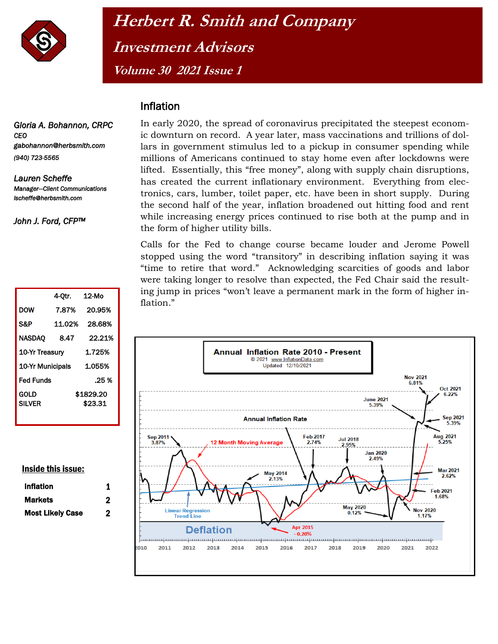

## **Herbert R. Smith and Company Investment Advisors Volume 30 2021 Issue 1**

## Inflation

*Gloria A. Bohannon, CRPC CEO gabohannon@herbsmith.com (940) 723-5565* 

*Lauren Scheffe Manager—Client Communications lscheffe@herbsmith.com* 

*John J. Ford, CFP™* 

|                       | 4-Otr. | 12-Mo                |
|-----------------------|--------|----------------------|
| DOW                   | 7.87%  | 20.95%               |
| S&P                   | 11.02% | 28.68%               |
| NASDAO                | 8.47   | 22.21%               |
| 10-Yr Treasury        |        | 1.725%               |
| 10-Yr Municipals      |        | 1.055%               |
| <b>Fed Funds</b>      |        | .25 %                |
| GOLD<br><b>SILVER</b> |        | \$1829.20<br>\$23.31 |

## Inside this issue:

| <b>Inflation</b>        |   |
|-------------------------|---|
| Markets                 | 2 |
| <b>Most Likely Case</b> | 2 |

In early 2020, the spread of coronavirus precipitated the steepest economic downturn on record. A year later, mass vaccinations and trillions of dollars in government stimulus led to a pickup in consumer spending while millions of Americans continued to stay home even after lockdowns were lifted. Essentially, this "free money", along with supply chain disruptions, has created the current inflationary environment. Everything from electronics, cars, lumber, toilet paper, etc. have been in short supply. During the second half of the year, inflation broadened out hitting food and rent while increasing energy prices continued to rise both at the pump and in the form of higher utility bills.

Calls for the Fed to change course became louder and Jerome Powell stopped using the word "transitory" in describing inflation saying it was "time to retire that word." Acknowledging scarcities of goods and labor were taking longer to resolve than expected, the Fed Chair said the resulting jump in prices "won't leave a permanent mark in the form of higher inflation."